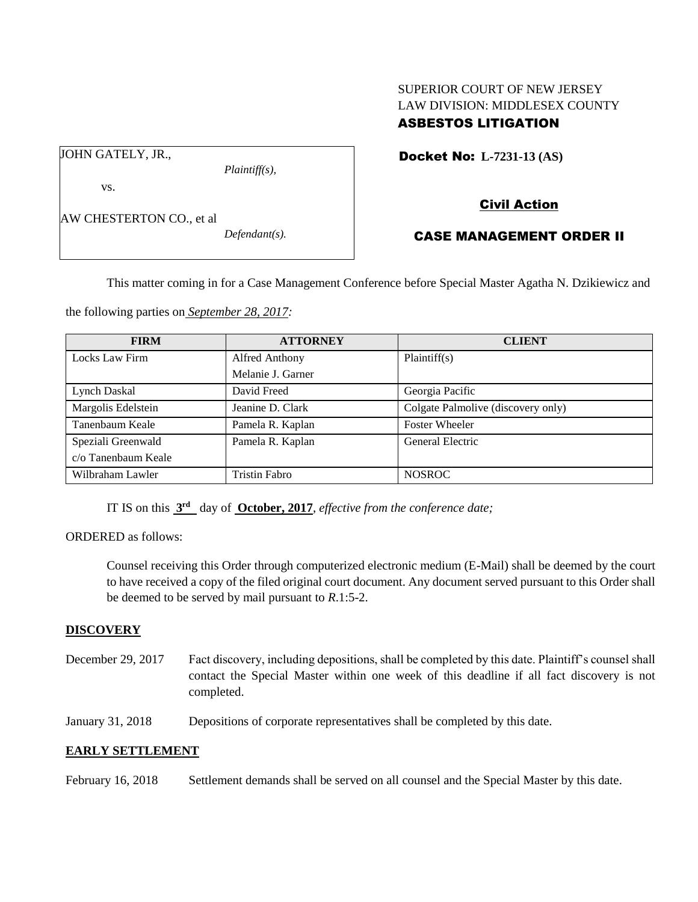# SUPERIOR COURT OF NEW JERSEY LAW DIVISION: MIDDLESEX COUNTY ASBESTOS LITIGATION

Docket No: **L-7231-13 (AS)** 

JOHN GATELY, JR.,

vs.

*Plaintiff(s),*

Civil Action

AW CHESTERTON CO., et al

*Defendant(s).*

# CASE MANAGEMENT ORDER II

This matter coming in for a Case Management Conference before Special Master Agatha N. Dzikiewicz and

the following parties on *September 28, 2017:*

| <b>FIRM</b>         | <b>ATTORNEY</b>   | <b>CLIENT</b>                      |
|---------------------|-------------------|------------------------------------|
| Locks Law Firm      | Alfred Anthony    | Plaintiff(s)                       |
|                     | Melanie J. Garner |                                    |
| Lynch Daskal        | David Freed       | Georgia Pacific                    |
| Margolis Edelstein  | Jeanine D. Clark  | Colgate Palmolive (discovery only) |
| Tanenbaum Keale     | Pamela R. Kaplan  | <b>Foster Wheeler</b>              |
| Speziali Greenwald  | Pamela R. Kaplan  | General Electric                   |
| c/o Tanenbaum Keale |                   |                                    |
| Wilbraham Lawler    | Tristin Fabro     | <b>NOSROC</b>                      |

IT IS on this  $3<sup>rd</sup>$  day of **October, 2017**, *effective from the conference date*;

ORDERED as follows:

Counsel receiving this Order through computerized electronic medium (E-Mail) shall be deemed by the court to have received a copy of the filed original court document. Any document served pursuant to this Order shall be deemed to be served by mail pursuant to *R*.1:5-2.

## **DISCOVERY**

December 29, 2017 Fact discovery, including depositions, shall be completed by this date. Plaintiff's counsel shall contact the Special Master within one week of this deadline if all fact discovery is not completed.

January 31, 2018 Depositions of corporate representatives shall be completed by this date.

## **EARLY SETTLEMENT**

February 16, 2018 Settlement demands shall be served on all counsel and the Special Master by this date.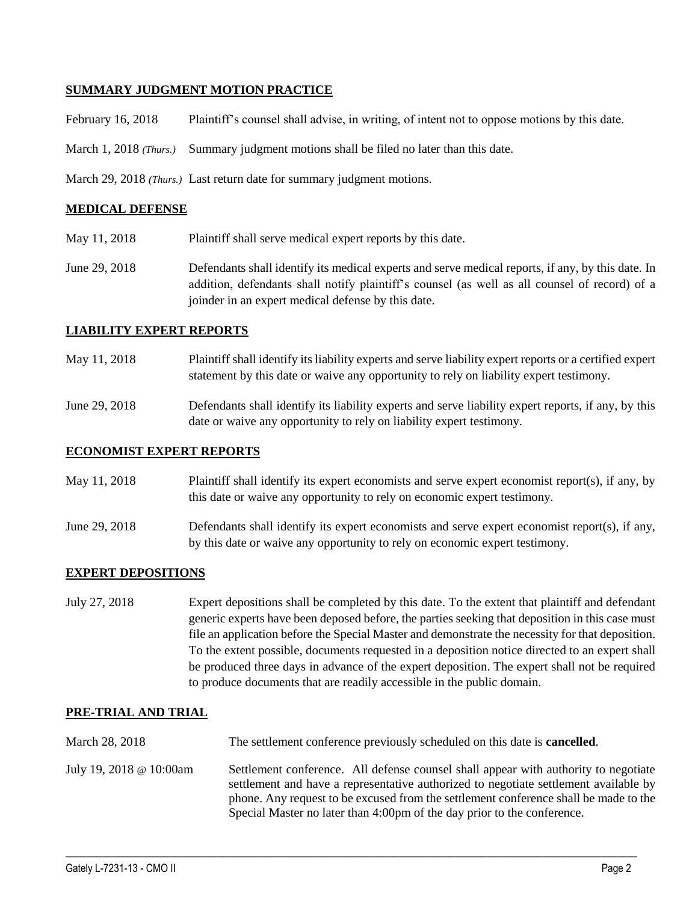## **SUMMARY JUDGMENT MOTION PRACTICE**

February 16, 2018 Plaintiff's counsel shall advise, in writing, of intent not to oppose motions by this date.

March 1, 2018 *(Thurs.)* Summary judgment motions shall be filed no later than this date.

March 29, 2018 *(Thurs.)* Last return date for summary judgment motions.

#### **MEDICAL DEFENSE**

- May 11, 2018 Plaintiff shall serve medical expert reports by this date.
- June 29, 2018 Defendants shall identify its medical experts and serve medical reports, if any, by this date. In addition, defendants shall notify plaintiff's counsel (as well as all counsel of record) of a joinder in an expert medical defense by this date.

### **LIABILITY EXPERT REPORTS**

- May 11, 2018 Plaintiff shall identify its liability experts and serve liability expert reports or a certified expert statement by this date or waive any opportunity to rely on liability expert testimony.
- June 29, 2018 Defendants shall identify its liability experts and serve liability expert reports, if any, by this date or waive any opportunity to rely on liability expert testimony.

### **ECONOMIST EXPERT REPORTS**

| May 11, 2018 | Plaintiff shall identify its expert economists and serve expert economist report(s), if any, by |
|--------------|-------------------------------------------------------------------------------------------------|
|              | this date or waive any opportunity to rely on economic expert testimony.                        |

June 29, 2018 Defendants shall identify its expert economists and serve expert economist report(s), if any, by this date or waive any opportunity to rely on economic expert testimony.

#### **EXPERT DEPOSITIONS**

July 27, 2018 Expert depositions shall be completed by this date. To the extent that plaintiff and defendant generic experts have been deposed before, the parties seeking that deposition in this case must file an application before the Special Master and demonstrate the necessity for that deposition. To the extent possible, documents requested in a deposition notice directed to an expert shall be produced three days in advance of the expert deposition. The expert shall not be required to produce documents that are readily accessible in the public domain.

#### **PRE-TRIAL AND TRIAL**

- March 28, 2018 The settlement conference previously scheduled on this date is **cancelled**. July 19, 2018 @ 10:00am Settlement conference. All defense counsel shall appear with authority to negotiate
	- settlement and have a representative authorized to negotiate settlement available by phone. Any request to be excused from the settlement conference shall be made to the Special Master no later than 4:00pm of the day prior to the conference.

 $\_$  ,  $\_$  ,  $\_$  ,  $\_$  ,  $\_$  ,  $\_$  ,  $\_$  ,  $\_$  ,  $\_$  ,  $\_$  ,  $\_$  ,  $\_$  ,  $\_$  ,  $\_$  ,  $\_$  ,  $\_$  ,  $\_$  ,  $\_$  ,  $\_$  ,  $\_$  ,  $\_$  ,  $\_$  ,  $\_$  ,  $\_$  ,  $\_$  ,  $\_$  ,  $\_$  ,  $\_$  ,  $\_$  ,  $\_$  ,  $\_$  ,  $\_$  ,  $\_$  ,  $\_$  ,  $\_$  ,  $\_$  ,  $\_$  ,